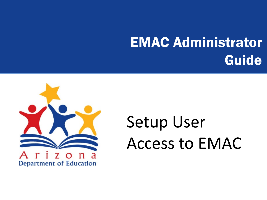### EMAC Administrator Guide



# Setup User Access to EMAC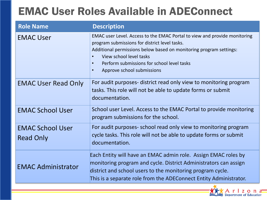#### EMAC User Roles Available in ADEConnect

| <b>Role Name</b>                            | <b>Description</b>                                                                                                                                                                                                                                                                                                                             |
|---------------------------------------------|------------------------------------------------------------------------------------------------------------------------------------------------------------------------------------------------------------------------------------------------------------------------------------------------------------------------------------------------|
| <b>EMAC User</b>                            | EMAC user Level. Access to the EMAC Portal to view and provide monitoring<br>program submissions for district level tasks.<br>Additional permissions below based on monitoring program settings:<br>View school level tasks<br>$\bullet$<br>Perform submissions for school level tasks<br>$\bullet$<br>Approve school submissions<br>$\bullet$ |
| <b>EMAC User Read Only</b>                  | For audit purposes- district read only view to monitoring program<br>tasks. This role will not be able to update forms or submit<br>documentation.                                                                                                                                                                                             |
| <b>EMAC School User</b>                     | School user Level. Access to the EMAC Portal to provide monitoring<br>program submissions for the school.                                                                                                                                                                                                                                      |
| <b>EMAC School User</b><br><b>Read Only</b> | For audit purposes- school read only view to monitoring program<br>cycle tasks. This role will not be able to update forms or submit<br>documentation.                                                                                                                                                                                         |
| <b>EMAC Administrator</b>                   | Each Entity will have an EMAC admin role. Assign EMAC roles by<br>monitoring program and cycle. District Administrators can assign<br>district and school users to the monitoring program cycle.<br>This is a separate role from the ADEConnect Entity Administrator.                                                                          |

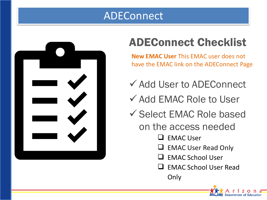#### ADEConnect



### ADEConnect Checklist

**New EMAC User** This EMAC user does not have the EMAC link on the ADEConnect Page

- ✔ Add User to ADEConnect
- $\checkmark$  Add EMAC Role to User
- $\checkmark$  Select EMAC Role based on the access needed
	- $\Box$  EMAC User
	- $\Box$  EMAC User Read Only
	- $\Box$  EMAC School User
	- **EMAC School User Read** Only

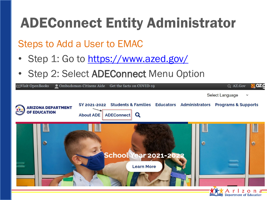### ADEConnect Entity Administrator

Steps to Add a User to EMAC

- Step 1: Go to <https://www.azed.gov/>
- Step 2: Select ADEConnect Menu Option



Department of Education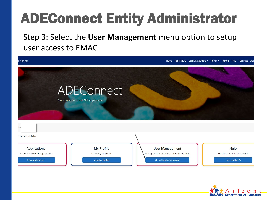## ADEConnect Entity Administrator

Step 3: Select the **User Management** menu option to setup user access to EMAC



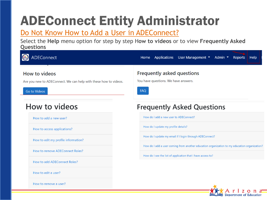### ADEConnect Entity Administrator

#### Do Not Know How to Add a User in ADEConnect?

Select the **Help** menu option for step by step H**ow to videos** or to view **Frequently Asked Questions**



How to remove a user?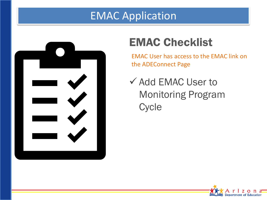#### EMAC Application



### EMAC Checklist

EMAC User has access to the EMAC link on the ADEConnect Page

 $\checkmark$  Add EMAC User to Monitoring Program **Cycle** 

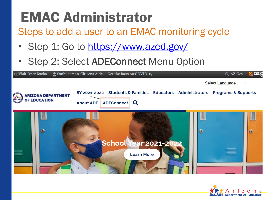Steps to add a user to an EMAC monitoring cycle

- Step 1: Go to <https://www.azed.gov/>
- Step 2: Select ADEConnect Menu Option



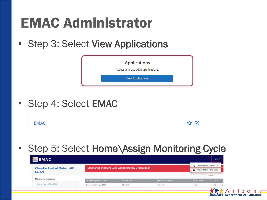• Step 3: Select View Applications

| <b>Applications</b><br>Access and use ADE applications. |  |
|---------------------------------------------------------|--|
| <b>View Applications</b>                                |  |

• Step 4: Select EMAC

|  |  | MAAC |  |
|--|--|------|--|
|--|--|------|--|

• Step 5: Select Home Assign Monitoring Cycle

| <b>EMAC</b>                                    |                                                            |                                                     |                                       |                                                            | Home $\sim$                  |
|------------------------------------------------|------------------------------------------------------------|-----------------------------------------------------|---------------------------------------|------------------------------------------------------------|------------------------------|
| <b>Chandler Unified District #80</b><br>(4242) |                                                            | Monitoring Program Cycle Assignment by Organization |                                       | <b>Q</b> Organization Dashboard<br>Assign Monitoring Cycle |                              |
| <b>Monitoring Programs:</b>                    |                                                            |                                                     |                                       |                                                            | Search                       |
| Fiscal Year: 2021-2022                         | Education Organization Name<br>Chandler High School (5127) | Program Area<br>21st CCLC                           | <b>Monitoring Program</b><br>Test PAG | Cycle Name<br>Test 1                                       | Fiscal Ye<br>2022<br>$\circ$ |
|                                                |                                                            |                                                     |                                       |                                                            | $\bullet$                    |

Department of Education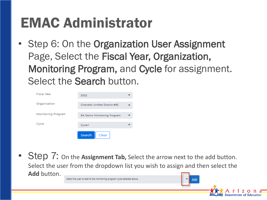• Step 6: On the Organization User Assignment Page, Select the Fiscal Year, Organization, Monitoring Program, and Cycle for assignment. Select the Search button.

| <b>Fiscal Year</b> | 2022                              |  |
|--------------------|-----------------------------------|--|
| Organization       | Chandler Unified District #80     |  |
| Monitoring Program | <b>BA Demo Monitoring Program</b> |  |
| Cycle              | Cycle1                            |  |
|                    | Search<br>Clear                   |  |

**Step 7:** On the **Assignment Tab,** Select the arrow next to the add button. Select the user from the dropdown list you wish to assign and then select the **Add** button. Select the user to add to the monitoring program cycle selected above.

Add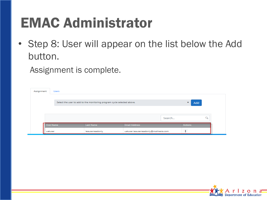• Step 8: User will appear on the list below the Add button.

Assignment is complete.

| Assignment | <b>Users</b>      |                                                                        |                                       |        |                |  |
|------------|-------------------|------------------------------------------------------------------------|---------------------------------------|--------|----------------|--|
|            |                   | Select the user to add to the monitoring program cycle selected above. |                                       |        | Add<br>$\cdot$ |  |
|            |                   |                                                                        |                                       |        |                |  |
|            |                   |                                                                        |                                       | Search |                |  |
|            | <b>First Name</b> | <b>Last Name</b>                                                       | <b>Email Address</b>                  |        | <b>Actions</b> |  |
|            | uatuser           | leauserreadonly                                                        | uatuser.leauserreadonly@mailnesia.com |        |                |  |

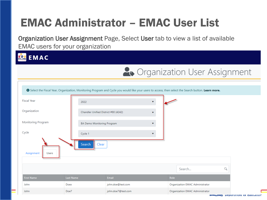### EMAC Administrator – EMAC User List

Organization User Assignment Page, Select User tab to view a list of available EMAC users for your organization



|                            |                                      |                                                                                                                                                             | <b>A</b> Organization User Assignment |          |
|----------------------------|--------------------------------------|-------------------------------------------------------------------------------------------------------------------------------------------------------------|---------------------------------------|----------|
|                            |                                      |                                                                                                                                                             |                                       |          |
|                            |                                      | <b>O</b> Select the Fiscal Year, Organization, Monitoring Program and Cycle you would like your users to access, then select the Search button. Learn more. |                                       |          |
| <b>Fiscal Year</b>         | 2022                                 | $\overline{\mathbf{v}}$                                                                                                                                     |                                       |          |
| Organization               | Chandler Unified District #80 (4242) | $\overline{\mathbf{v}}$                                                                                                                                     |                                       |          |
| <b>Monitoring Program</b>  | BA Demo Monitoring Program           |                                                                                                                                                             |                                       |          |
| Cycle                      | Cycle 1                              |                                                                                                                                                             |                                       |          |
| Assignment<br><b>Users</b> | Search<br>Clear                      |                                                                                                                                                             |                                       |          |
|                            |                                      |                                                                                                                                                             | Search                                | $\alpha$ |
| <b>First Name</b>          | <b>Last Name</b>                     | Email                                                                                                                                                       | Role                                  |          |
| John                       | Doex                                 | john.doe@test.com                                                                                                                                           | Organization EMAC Administrator       |          |
| John.                      | Doe7                                 | john.doe7@test.com                                                                                                                                          | Organization EMAC Administrator       |          |